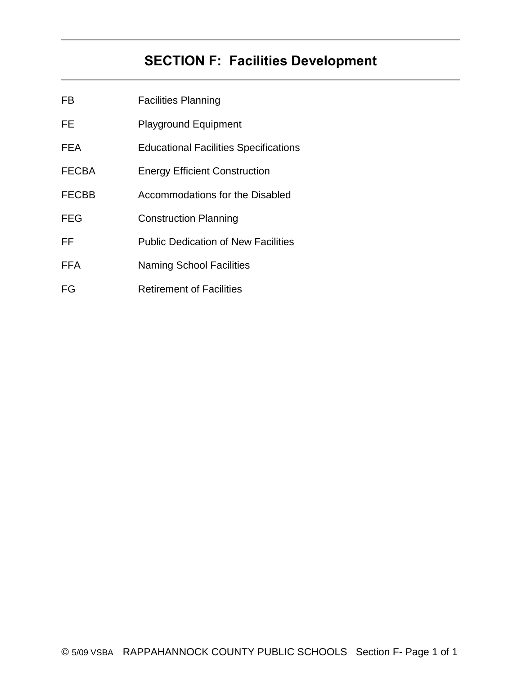# **SECTION F: Facilities Development**

| FB           | <b>Facilities Planning</b>                   |  |  |
|--------------|----------------------------------------------|--|--|
| FE           | <b>Playground Equipment</b>                  |  |  |
| <b>FEA</b>   | <b>Educational Facilities Specifications</b> |  |  |
| <b>FECBA</b> | <b>Energy Efficient Construction</b>         |  |  |
| <b>FECBB</b> | Accommodations for the Disabled              |  |  |
| <b>FEG</b>   | <b>Construction Planning</b>                 |  |  |
| FF           | <b>Public Dedication of New Facilities</b>   |  |  |
| <b>FFA</b>   | <b>Naming School Facilities</b>              |  |  |
| FG           | <b>Retirement of Facilities</b>              |  |  |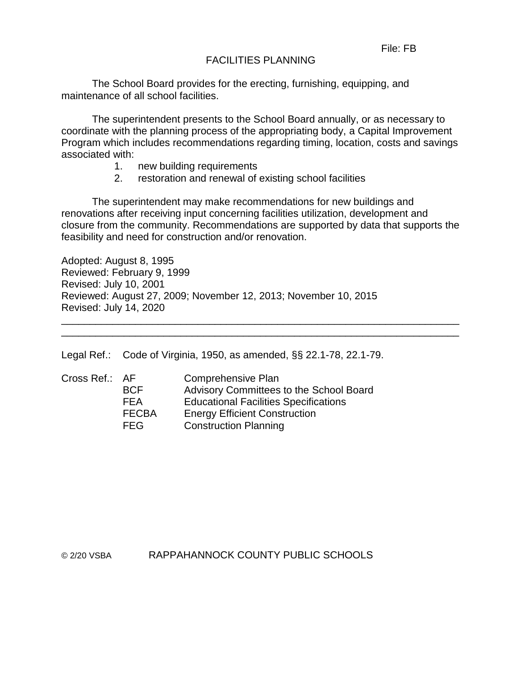#### FACILITIES PLANNING

The School Board provides for the erecting, furnishing, equipping, and maintenance of all school facilities.

The superintendent presents to the School Board annually, or as necessary to coordinate with the planning process of the appropriating body, a Capital Improvement Program which includes recommendations regarding timing, location, costs and savings associated with:

- 1. new building requirements
- 2. restoration and renewal of existing school facilities

The superintendent may make recommendations for new buildings and renovations after receiving input concerning facilities utilization, development and closure from the community. Recommendations are supported by data that supports the feasibility and need for construction and/or renovation.

\_\_\_\_\_\_\_\_\_\_\_\_\_\_\_\_\_\_\_\_\_\_\_\_\_\_\_\_\_\_\_\_\_\_\_\_\_\_\_\_\_\_\_\_\_\_\_\_\_\_\_\_\_\_\_\_\_\_\_\_\_\_\_\_\_\_\_\_\_\_ \_\_\_\_\_\_\_\_\_\_\_\_\_\_\_\_\_\_\_\_\_\_\_\_\_\_\_\_\_\_\_\_\_\_\_\_\_\_\_\_\_\_\_\_\_\_\_\_\_\_\_\_\_\_\_\_\_\_\_\_\_\_\_\_\_\_\_\_\_\_

Adopted: August 8, 1995 Reviewed: February 9, 1999 Revised: July 10, 2001 Reviewed: August 27, 2009; November 12, 2013; November 10, 2015 Revised: July 14, 2020

Legal Ref.: Code of Virginia, 1950, as amended, §§ 22.1-78, 22.1-79.

| Cross Ref.: AF |              | <b>Comprehensive Plan</b>                    |
|----------------|--------------|----------------------------------------------|
|                | <b>BCF</b>   | Advisory Committees to the School Board      |
|                | FFA          | <b>Educational Facilities Specifications</b> |
|                | <b>FECBA</b> | <b>Energy Efficient Construction</b>         |
|                | FFG.         | <b>Construction Planning</b>                 |

© 2/20 VSBA RAPPAHANNOCK COUNTY PUBLIC SCHOOLS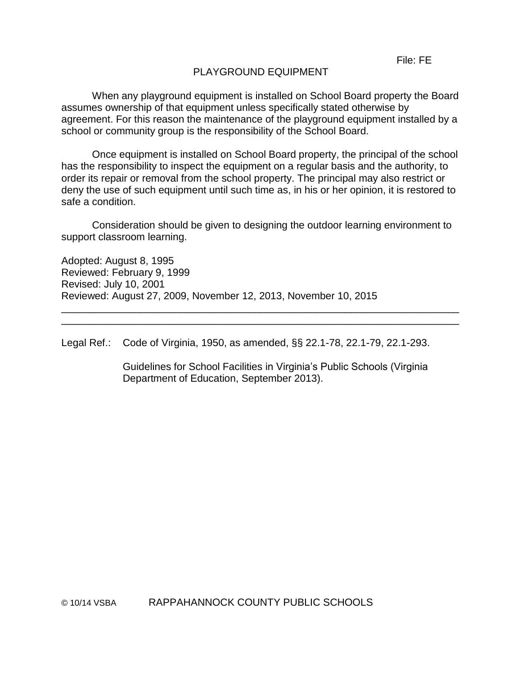File: FE

## PLAYGROUND EQUIPMENT

When any playground equipment is installed on School Board property the Board assumes ownership of that equipment unless specifically stated otherwise by agreement. For this reason the maintenance of the playground equipment installed by a school or community group is the responsibility of the School Board.

Once equipment is installed on School Board property, the principal of the school has the responsibility to inspect the equipment on a regular basis and the authority, to order its repair or removal from the school property. The principal may also restrict or deny the use of such equipment until such time as, in his or her opinion, it is restored to safe a condition.

Consideration should be given to designing the outdoor learning environment to support classroom learning.

\_\_\_\_\_\_\_\_\_\_\_\_\_\_\_\_\_\_\_\_\_\_\_\_\_\_\_\_\_\_\_\_\_\_\_\_\_\_\_\_\_\_\_\_\_\_\_\_\_\_\_\_\_\_\_\_\_\_\_\_\_\_\_\_\_\_\_\_\_\_ \_\_\_\_\_\_\_\_\_\_\_\_\_\_\_\_\_\_\_\_\_\_\_\_\_\_\_\_\_\_\_\_\_\_\_\_\_\_\_\_\_\_\_\_\_\_\_\_\_\_\_\_\_\_\_\_\_\_\_\_\_\_\_\_\_\_\_\_\_\_

Adopted: August 8, 1995 Reviewed: February 9, 1999 Revised: July 10, 2001 Reviewed: August 27, 2009, November 12, 2013, November 10, 2015

Legal Ref.: Code of Virginia, 1950, as amended, §§ 22.1-78, 22.1-79, 22.1-293.

Guidelines for School Facilities in Virginia's Public Schools (Virginia Department of Education, September 2013).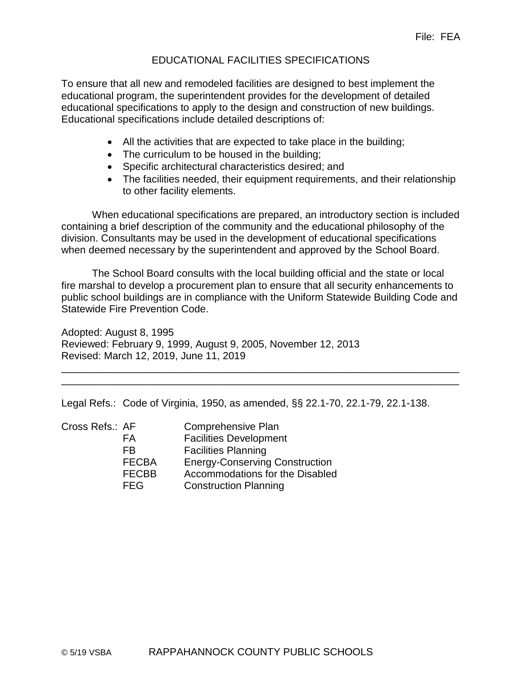# EDUCATIONAL FACILITIES SPECIFICATIONS

To ensure that all new and remodeled facilities are designed to best implement the educational program, the superintendent provides for the development of detailed educational specifications to apply to the design and construction of new buildings. Educational specifications include detailed descriptions of:

- All the activities that are expected to take place in the building;
- The curriculum to be housed in the building;
- Specific architectural characteristics desired; and
- The facilities needed, their equipment requirements, and their relationship to other facility elements.

When educational specifications are prepared, an introductory section is included containing a brief description of the community and the educational philosophy of the division. Consultants may be used in the development of educational specifications when deemed necessary by the superintendent and approved by the School Board.

The School Board consults with the local building official and the state or local fire marshal to develop a procurement plan to ensure that all security enhancements to public school buildings are in compliance with the Uniform Statewide Building Code and Statewide Fire Prevention Code.

\_\_\_\_\_\_\_\_\_\_\_\_\_\_\_\_\_\_\_\_\_\_\_\_\_\_\_\_\_\_\_\_\_\_\_\_\_\_\_\_\_\_\_\_\_\_\_\_\_\_\_\_\_\_\_\_\_\_\_\_\_\_\_\_\_\_\_\_\_\_ \_\_\_\_\_\_\_\_\_\_\_\_\_\_\_\_\_\_\_\_\_\_\_\_\_\_\_\_\_\_\_\_\_\_\_\_\_\_\_\_\_\_\_\_\_\_\_\_\_\_\_\_\_\_\_\_\_\_\_\_\_\_\_\_\_\_\_\_\_\_

Adopted: August 8, 1995 Reviewed: February 9, 1999, August 9, 2005, November 12, 2013 Revised: March 12, 2019, June 11, 2019

Legal Refs.: Code of Virginia, 1950, as amended, §§ 22.1-70, 22.1-79, 22.1-138.

| Cross Refs.: AF | Comprehensive Plan                    |
|-----------------|---------------------------------------|
| FA              | <b>Facilities Development</b>         |
| FB              | <b>Facilities Planning</b>            |
| <b>FECBA</b>    | <b>Energy-Conserving Construction</b> |
| <b>FECBB</b>    | Accommodations for the Disabled       |
| <b>FEG</b>      | <b>Construction Planning</b>          |
|                 |                                       |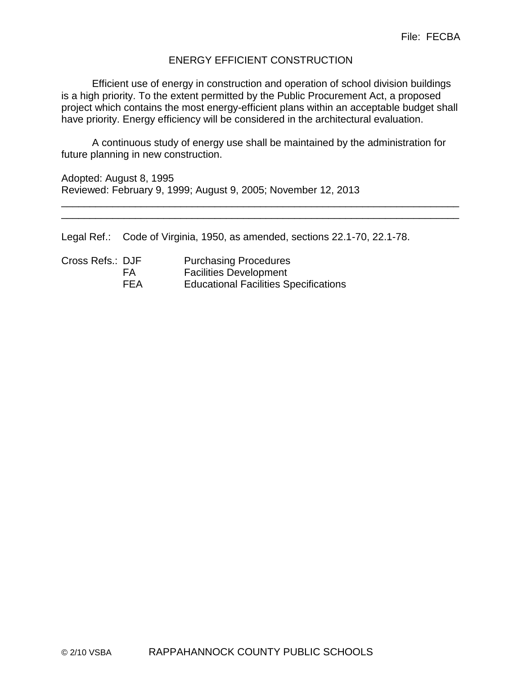### ENERGY EFFICIENT CONSTRUCTION

Efficient use of energy in construction and operation of school division buildings is a high priority. To the extent permitted by the Public Procurement Act, a proposed project which contains the most energy-efficient plans within an acceptable budget shall have priority. Energy efficiency will be considered in the architectural evaluation.

A continuous study of energy use shall be maintained by the administration for future planning in new construction.

\_\_\_\_\_\_\_\_\_\_\_\_\_\_\_\_\_\_\_\_\_\_\_\_\_\_\_\_\_\_\_\_\_\_\_\_\_\_\_\_\_\_\_\_\_\_\_\_\_\_\_\_\_\_\_\_\_\_\_\_\_\_\_\_\_\_\_\_\_\_ \_\_\_\_\_\_\_\_\_\_\_\_\_\_\_\_\_\_\_\_\_\_\_\_\_\_\_\_\_\_\_\_\_\_\_\_\_\_\_\_\_\_\_\_\_\_\_\_\_\_\_\_\_\_\_\_\_\_\_\_\_\_\_\_\_\_\_\_\_\_

Adopted: August 8, 1995 Reviewed: February 9, 1999; August 9, 2005; November 12, 2013

Legal Ref.: Code of Virginia, 1950, as amended, sections 22.1-70, 22.1-78.

| Cross Refs.: DJF |     | <b>Purchasing Procedures</b>                 |
|------------------|-----|----------------------------------------------|
|                  | FА  | <b>Facilities Development</b>                |
|                  | FFA | <b>Educational Facilities Specifications</b> |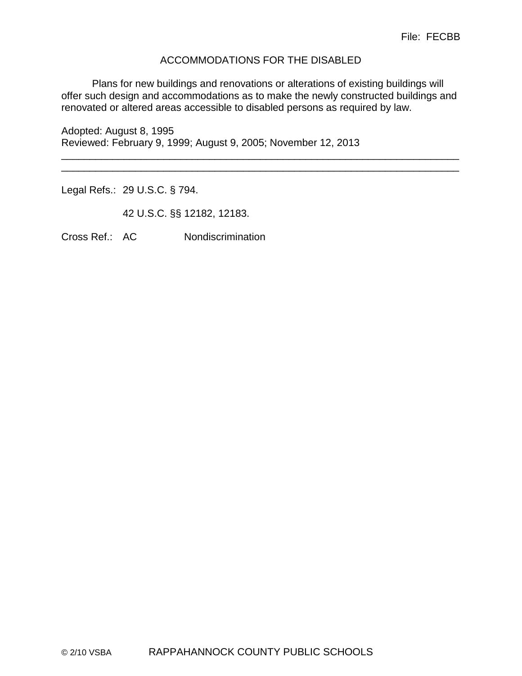#### ACCOMMODATIONS FOR THE DISABLED

Plans for new buildings and renovations or alterations of existing buildings will offer such design and accommodations as to make the newly constructed buildings and renovated or altered areas accessible to disabled persons as required by law.

\_\_\_\_\_\_\_\_\_\_\_\_\_\_\_\_\_\_\_\_\_\_\_\_\_\_\_\_\_\_\_\_\_\_\_\_\_\_\_\_\_\_\_\_\_\_\_\_\_\_\_\_\_\_\_\_\_\_\_\_\_\_\_\_\_\_\_\_\_\_ \_\_\_\_\_\_\_\_\_\_\_\_\_\_\_\_\_\_\_\_\_\_\_\_\_\_\_\_\_\_\_\_\_\_\_\_\_\_\_\_\_\_\_\_\_\_\_\_\_\_\_\_\_\_\_\_\_\_\_\_\_\_\_\_\_\_\_\_\_\_

Adopted: August 8, 1995 Reviewed: February 9, 1999; August 9, 2005; November 12, 2013

Legal Refs.: 29 U.S.C. § 794.

42 U.S.C. §§ 12182, 12183.

Cross Ref.: AC Nondiscrimination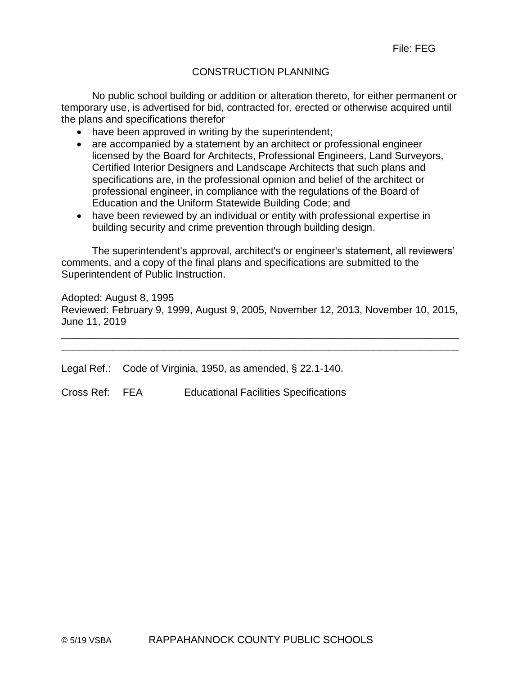# CONSTRUCTION PLANNING

No public school building or addition or alteration thereto, for either permanent or temporary use, is advertised for bid, contracted for, erected or otherwise acquired until the plans and specifications therefor

- have been approved in writing by the superintendent;
- are accompanied by a statement by an architect or professional engineer licensed by the Board for Architects, Professional Engineers, Land Surveyors, Certified Interior Designers and Landscape Architects that such plans and specifications are, in the professional opinion and belief of the architect or professional engineer, in compliance with the regulations of the Board of Education and the Uniform Statewide Building Code; and
- have been reviewed by an individual or entity with professional expertise in building security and crime prevention through building design.

The superintendent's approval, architect's or engineer's statement, all reviewers' comments, and a copy of the final plans and specifications are submitted to the Superintendent of Public Instruction.

Adopted: August 8, 1995 Reviewed: February 9, 1999, August 9, 2005, November 12, 2013, November 10, 2015, June 11, 2019 \_\_\_\_\_\_\_\_\_\_\_\_\_\_\_\_\_\_\_\_\_\_\_\_\_\_\_\_\_\_\_\_\_\_\_\_\_\_\_\_\_\_\_\_\_\_\_\_\_\_\_\_\_\_\_\_\_\_\_\_\_\_\_\_\_\_\_\_\_\_

\_\_\_\_\_\_\_\_\_\_\_\_\_\_\_\_\_\_\_\_\_\_\_\_\_\_\_\_\_\_\_\_\_\_\_\_\_\_\_\_\_\_\_\_\_\_\_\_\_\_\_\_\_\_\_\_\_\_\_\_\_\_\_\_\_\_\_\_\_\_

Legal Ref.: Code of Virginia, 1950, as amended, § 22.1-140.

Cross Ref: FEA Educational Facilities Specifications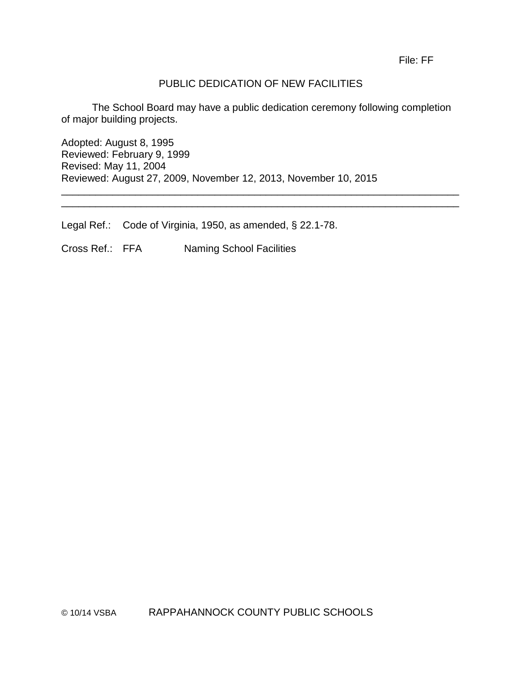File: FF

## PUBLIC DEDICATION OF NEW FACILITIES

The School Board may have a public dedication ceremony following completion of major building projects.

\_\_\_\_\_\_\_\_\_\_\_\_\_\_\_\_\_\_\_\_\_\_\_\_\_\_\_\_\_\_\_\_\_\_\_\_\_\_\_\_\_\_\_\_\_\_\_\_\_\_\_\_\_\_\_\_\_\_\_\_\_\_\_\_\_\_\_\_\_\_ \_\_\_\_\_\_\_\_\_\_\_\_\_\_\_\_\_\_\_\_\_\_\_\_\_\_\_\_\_\_\_\_\_\_\_\_\_\_\_\_\_\_\_\_\_\_\_\_\_\_\_\_\_\_\_\_\_\_\_\_\_\_\_\_\_\_\_\_\_\_

Adopted: August 8, 1995 Reviewed: February 9, 1999 Revised: May 11, 2004 Reviewed: August 27, 2009, November 12, 2013, November 10, 2015

Legal Ref.: Code of Virginia, 1950, as amended, § 22.1-78.

Cross Ref.: FFA Naming School Facilities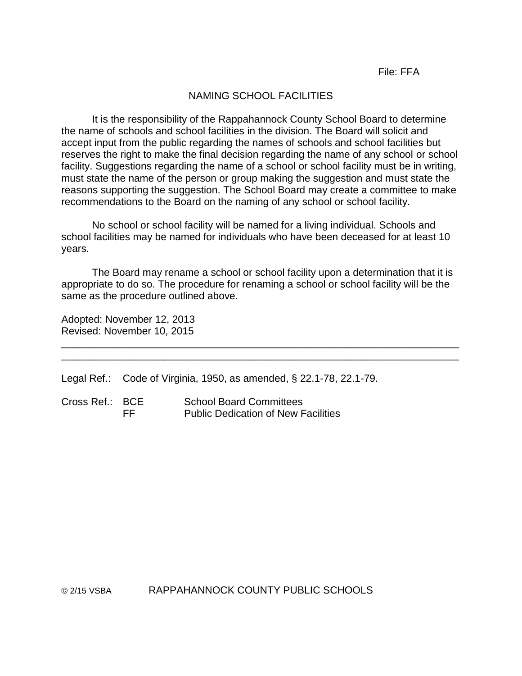File: FFA

#### NAMING SCHOOL FACILITIES

It is the responsibility of the Rappahannock County School Board to determine the name of schools and school facilities in the division. The Board will solicit and accept input from the public regarding the names of schools and school facilities but reserves the right to make the final decision regarding the name of any school or school facility. Suggestions regarding the name of a school or school facility must be in writing, must state the name of the person or group making the suggestion and must state the reasons supporting the suggestion. The School Board may create a committee to make recommendations to the Board on the naming of any school or school facility.

No school or school facility will be named for a living individual. Schools and school facilities may be named for individuals who have been deceased for at least 10 years.

The Board may rename a school or school facility upon a determination that it is appropriate to do so. The procedure for renaming a school or school facility will be the same as the procedure outlined above.

\_\_\_\_\_\_\_\_\_\_\_\_\_\_\_\_\_\_\_\_\_\_\_\_\_\_\_\_\_\_\_\_\_\_\_\_\_\_\_\_\_\_\_\_\_\_\_\_\_\_\_\_\_\_\_\_\_\_\_\_\_\_\_\_\_\_\_\_\_\_ \_\_\_\_\_\_\_\_\_\_\_\_\_\_\_\_\_\_\_\_\_\_\_\_\_\_\_\_\_\_\_\_\_\_\_\_\_\_\_\_\_\_\_\_\_\_\_\_\_\_\_\_\_\_\_\_\_\_\_\_\_\_\_\_\_\_\_\_\_\_

Adopted: November 12, 2013 Revised: November 10, 2015

Legal Ref.: Code of Virginia, 1950, as amended, § 22.1-78, 22.1-79.

Cross Ref.: BCE School Board Committees FF Public Dedication of New Facilities